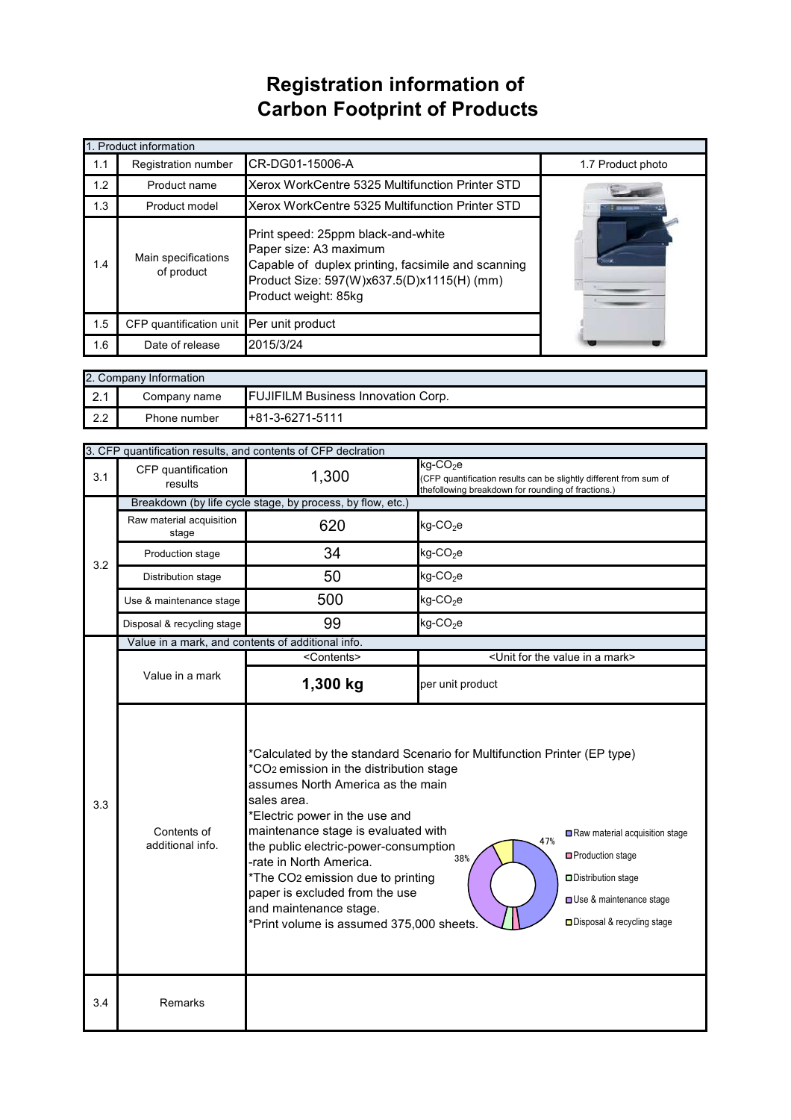## **Registration information of Carbon Footprint of Products**

| 1. Product information |                                                                                                                                                                                                                               |                                                 |                   |  |
|------------------------|-------------------------------------------------------------------------------------------------------------------------------------------------------------------------------------------------------------------------------|-------------------------------------------------|-------------------|--|
| 1.1                    | <b>Registration number</b>                                                                                                                                                                                                    | CR-DG01-15006-A                                 | 1.7 Product photo |  |
| 1.2                    | Product name                                                                                                                                                                                                                  | Xerox WorkCentre 5325 Multifunction Printer STD |                   |  |
| 1.3                    | Product model                                                                                                                                                                                                                 | Xerox WorkCentre 5325 Multifunction Printer STD |                   |  |
| 1.4                    | Print speed: 25ppm black-and-white<br>Paper size: A3 maximum<br>Main specifications<br>Capable of duplex printing, facsimile and scanning<br>of product<br>Product Size: 597(W)x637.5(D)x1115(H) (mm)<br>Product weight: 85kg |                                                 |                   |  |
| 1.5                    | CFP quantification unit Per unit product                                                                                                                                                                                      |                                                 |                   |  |
| 1.6                    | Date of release                                                                                                                                                                                                               | 2015/3/24                                       |                   |  |

| 2. Company Information |              |                                           |  |  |  |
|------------------------|--------------|-------------------------------------------|--|--|--|
| ົດ 1<br><b>Z.I</b>     | Company name | <b>FUJIFILM Business Innovation Corp.</b> |  |  |  |
| 2.2                    | Phone number | +81-3-6271-5111                           |  |  |  |

|     | 3. CFP quantification results, and contents of CFP declration |                                                                                                                                                                                                                                                                                                                                                                                                                                                                                                                                                                                                                                    |                                                                                                                                                 |  |  |
|-----|---------------------------------------------------------------|------------------------------------------------------------------------------------------------------------------------------------------------------------------------------------------------------------------------------------------------------------------------------------------------------------------------------------------------------------------------------------------------------------------------------------------------------------------------------------------------------------------------------------------------------------------------------------------------------------------------------------|-------------------------------------------------------------------------------------------------------------------------------------------------|--|--|
| 3.1 | CFP quantification<br>results                                 | 1,300                                                                                                                                                                                                                                                                                                                                                                                                                                                                                                                                                                                                                              | kg-CO <sub>2</sub> e<br>(CFP quantification results can be slightly different from sum of<br>thefollowing breakdown for rounding of fractions.) |  |  |
|     | Breakdown (by life cycle stage, by process, by flow, etc.)    |                                                                                                                                                                                                                                                                                                                                                                                                                                                                                                                                                                                                                                    |                                                                                                                                                 |  |  |
| 3.2 | Raw material acquisition<br>stage                             | 620                                                                                                                                                                                                                                                                                                                                                                                                                                                                                                                                                                                                                                | $kg$ -CO <sub>2</sub> e                                                                                                                         |  |  |
|     | Production stage                                              | 34                                                                                                                                                                                                                                                                                                                                                                                                                                                                                                                                                                                                                                 | $kg$ -CO <sub>2</sub> e                                                                                                                         |  |  |
|     | Distribution stage                                            | 50                                                                                                                                                                                                                                                                                                                                                                                                                                                                                                                                                                                                                                 | $kg$ -CO <sub>2</sub> e                                                                                                                         |  |  |
|     | Use & maintenance stage                                       | 500                                                                                                                                                                                                                                                                                                                                                                                                                                                                                                                                                                                                                                | $kg$ -CO <sub>2</sub> e                                                                                                                         |  |  |
|     | Disposal & recycling stage                                    | 99                                                                                                                                                                                                                                                                                                                                                                                                                                                                                                                                                                                                                                 | $kg$ -CO <sub>2</sub> e                                                                                                                         |  |  |
|     | Value in a mark, and contents of additional info.             |                                                                                                                                                                                                                                                                                                                                                                                                                                                                                                                                                                                                                                    |                                                                                                                                                 |  |  |
|     |                                                               | <contents></contents>                                                                                                                                                                                                                                                                                                                                                                                                                                                                                                                                                                                                              | <unit a="" for="" in="" mark="" the="" value=""></unit>                                                                                         |  |  |
|     | Value in a mark                                               | 1,300 kg                                                                                                                                                                                                                                                                                                                                                                                                                                                                                                                                                                                                                           | per unit product                                                                                                                                |  |  |
| 3.3 | Contents of<br>additional info.                               | *Calculated by the standard Scenario for Multifunction Printer (EP type)<br>*CO <sub>2</sub> emission in the distribution stage<br>assumes North America as the main<br>sales area.<br>*Electric power in the use and<br>maintenance stage is evaluated with<br>Raw material acquisition stage<br>47%<br>the public electric-power-consumption<br>Production stage<br>38%<br>-rate in North America.<br>*The CO2 emission due to printing<br>Distribution stage<br>paper is excluded from the use<br>Use & maintenance stage<br>and maintenance stage.<br>□ Disposal & recycling stage<br>*Print volume is assumed 375,000 sheets. |                                                                                                                                                 |  |  |
| 3.4 | Remarks                                                       |                                                                                                                                                                                                                                                                                                                                                                                                                                                                                                                                                                                                                                    |                                                                                                                                                 |  |  |